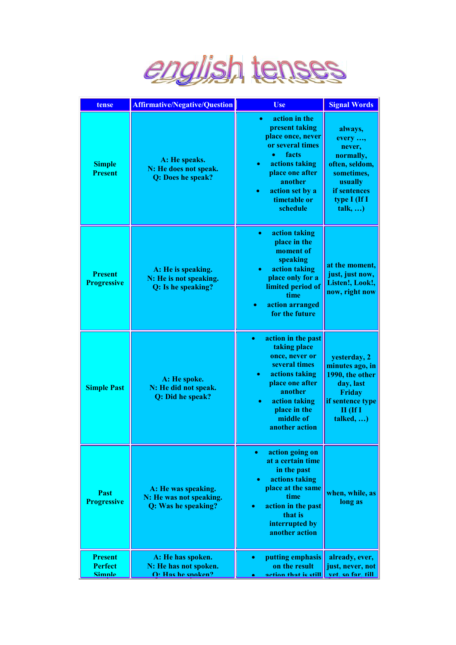

| tense                                      | <b>Affirmative/Negative/Question</b>                                    | <b>Use</b>                                                                                                                                                                                                                           | <b>Signal Words</b>                                                                                                             |
|--------------------------------------------|-------------------------------------------------------------------------|--------------------------------------------------------------------------------------------------------------------------------------------------------------------------------------------------------------------------------------|---------------------------------------------------------------------------------------------------------------------------------|
| <b>Simple</b><br><b>Present</b>            | A: He speaks.<br>N: He does not speak.<br>Q: Does he speak?             | action in the<br>$\bullet$<br>present taking<br>place once, never<br>or several times<br>facts<br>$\bullet$<br>actions taking<br>$\bullet$<br>place one after<br>another<br>action set by a<br>$\bullet$<br>timetable or<br>schedule | always,<br>every ,<br>never,<br>normally,<br>often, seldom,<br>sometimes,<br>usually<br>if sentences<br>type I (If I<br>talk, ) |
| <b>Present</b><br><b>Progressive</b>       | A: He is speaking.<br>N: He is not speaking.<br>Q: Is he speaking?      | action taking<br>$\bullet$<br>place in the<br>moment of<br>speaking<br>action taking<br>۰<br>place only for a<br>limited period of<br>time<br>action arranged<br>for the future                                                      | at the moment,<br>just, just now,<br>Listen!, Look!,<br>now, right now                                                          |
| <b>Simple Past</b>                         | A: He spoke.<br>N: He did not speak.<br>Q: Did he speak?                | action in the past<br>$\bullet$<br>taking place<br>once, never or<br>several times<br>actions taking<br>۰<br>place one after<br>another<br>action taking<br>place in the<br>middle of<br>another action                              | yesterday, 2<br>minutes ago, in<br>1990, the other<br>day, last<br>Friday<br>if sentence type<br>$II$ (If I<br>talked, )        |
| Past<br><b>Progressive</b>                 | A: He was speaking.<br>N: He was not speaking.<br>Q: Was he speaking?   | action going on<br>$\bullet$<br>at a certain time<br>in the past<br>actions taking<br>place at the same<br>time<br>action in the past<br>$\bullet$<br>that is<br>interrupted by<br>another action                                    | when, while, as<br>long as                                                                                                      |
| <b>Present</b><br><b>Perfect</b><br>Simnle | A: He has spoken.<br>N: He has not spoken.<br>$\Omega$ . Has he snaken? | putting emphasis<br>$\bullet$<br>on the result<br>action that is still                                                                                                                                                               | already, ever,<br>just, never, not<br>vet so far till                                                                           |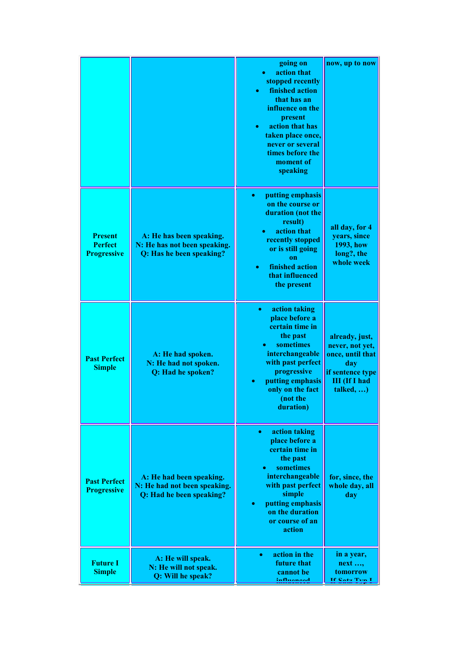|                                                        |                                                                                      | going on<br>action that<br>$\bullet$<br>stopped recently<br>finished action<br>$\bullet$<br>that has an<br>influence on the<br>present<br>action that has<br>$\bullet$<br>taken place once,<br>never or several<br>times before the<br>moment of<br>speaking | now, up to now                                                                                                        |
|--------------------------------------------------------|--------------------------------------------------------------------------------------|--------------------------------------------------------------------------------------------------------------------------------------------------------------------------------------------------------------------------------------------------------------|-----------------------------------------------------------------------------------------------------------------------|
| <b>Present</b><br><b>Perfect</b><br><b>Progressive</b> | A: He has been speaking.<br>N: He has not been speaking.<br>Q: Has he been speaking? | putting emphasis<br>$\bullet$<br>on the course or<br>duration (not the<br>result)<br>action that<br>۰<br>recently stopped<br>or is still going<br>on<br>finished action<br>$\bullet$<br>that influenced<br>the present                                       | all day, for 4<br>years, since<br>1993, how<br>long?, the<br>whole week                                               |
| <b>Past Perfect</b><br><b>Simple</b>                   | A: He had spoken.<br>N: He had not spoken.<br>Q: Had he spoken?                      | action taking<br>$\bullet$<br>place before a<br>certain time in<br>the past<br>sometimes<br>interchangeable<br>with past perfect<br>progressive<br>putting emphasis<br>only on the fact<br>(not the<br>duration)                                             | already, just,<br>never, not yet,<br>once, until that<br>day<br>if sentence type<br><b>III</b> (If I had<br>talked, ) |
| <b>Past Perfect</b><br><b>Progressive</b>              | A: He had been speaking.<br>N: He had not been speaking.<br>Q: Had he been speaking? | action taking<br>$\bullet$<br>place before a<br>certain time in<br>the past<br>sometimes<br>$\bullet$<br>interchangeable<br>with past perfect<br>simple<br>putting emphasis<br>$\bullet$<br>on the duration<br>or course of an<br>action                     | for, since, the<br>whole day, all<br>day                                                                              |
| <b>Future I</b><br><b>Simple</b>                       | A: He will speak.<br>N: He will not speak.<br>Q: Will he speak?                      | action in the<br>$\bullet$<br>future that<br>cannot be<br>:nfluonood                                                                                                                                                                                         | in a year,<br>$next$ ,<br>tomorrow<br>If Cata Tun I                                                                   |